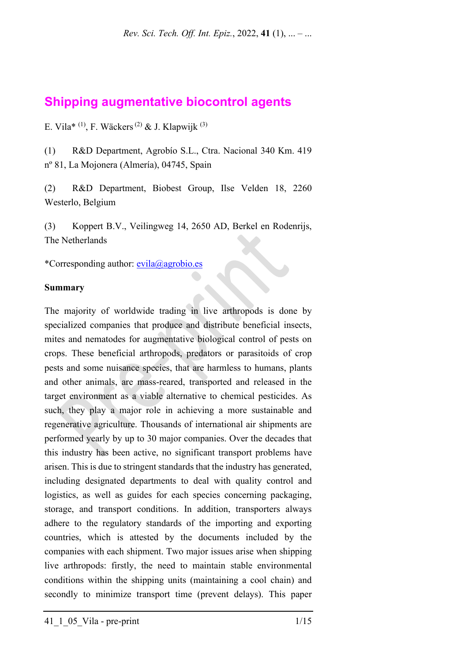# **Shipping augmentative biocontrol agents**

E. Vila\* <sup>(1)</sup>, F. Wäckers<sup>(2)</sup> & J. Klapwijk<sup>(3)</sup>

(1) R&D Department, Agrobío S.L., Ctra. Nacional 340 Km. 419 nº 81, La Mojonera (Almería), 04745, Spain

(2) R&D Department, Biobest Group, Ilse Velden 18, 2260 Westerlo, Belgium

(3) Koppert B.V., Veilingweg 14, 2650 AD, Berkel en Rodenrijs, The Netherlands

\*Corresponding author: [evila@agrobio.es](mailto:evila@agrobio.es)

### **Summary**

The majority of worldwide trading in live arthropods is done by specialized companies that produce and distribute beneficial insects, mites and nematodes for augmentative biological control of pests on crops. These beneficial arthropods, predators or parasitoids of crop pests and some nuisance species, that are harmless to humans, plants and other animals, are mass-reared, transported and released in the target environment as a viable alternative to chemical pesticides. As such, they play a major role in achieving a more sustainable and regenerative agriculture. Thousands of international air shipments are performed yearly by up to 30 major companies. Over the decades that this industry has been active, no significant transport problems have arisen. This is due to stringent standards that the industry has generated, including designated departments to deal with quality control and logistics, as well as guides for each species concerning packaging, storage, and transport conditions. In addition, transporters always adhere to the regulatory standards of the importing and exporting countries, which is attested by the documents included by the companies with each shipment. Two major issues arise when shipping live arthropods: firstly, the need to maintain stable environmental conditions within the shipping units (maintaining a cool chain) and secondly to minimize transport time (prevent delays). This paper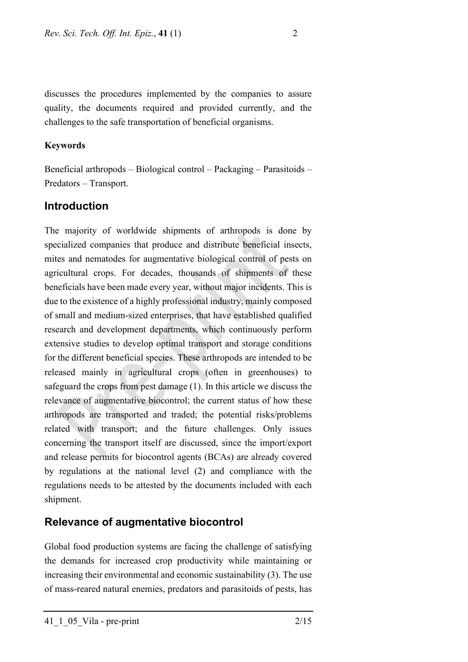discusses the procedures implemented by the companies to assure quality, the documents required and provided currently, and the challenges to the safe transportation of beneficial organisms.

### **Keywords**

Beneficial arthropods – Biological control – Packaging – Parasitoids – Predators – Transport.

## **Introduction**

The majority of worldwide shipments of arthropods is done by specialized companies that produce and distribute beneficial insects, mites and nematodes for augmentative biological control of pests on agricultural crops. For decades, thousands of shipments of these beneficials have been made every year, without major incidents. This is due to the existence of a highly professional industry, mainly composed of small and medium-sized enterprises, that have established qualified research and development departments, which continuously perform extensive studies to develop optimal transport and storage conditions for the different beneficial species. These arthropods are intended to be released mainly in agricultural crops (often in greenhouses) to safeguard the crops from pest damage (1). In this article we discuss the relevance of augmentative biocontrol; the current status of how these arthropods are transported and traded; the potential risks/problems related with transport; and the future challenges. Only issues concerning the transport itself are discussed, since the import/export and release permits for biocontrol agents (BCAs) are already covered by regulations at the national level (2) and compliance with the regulations needs to be attested by the documents included with each shipment.

# **Relevance of augmentative biocontrol**

Global food production systems are facing the challenge of satisfying the demands for increased crop productivity while maintaining or increasing their environmental and economic sustainability (3). The use of mass-reared natural enemies, predators and parasitoids of pests, has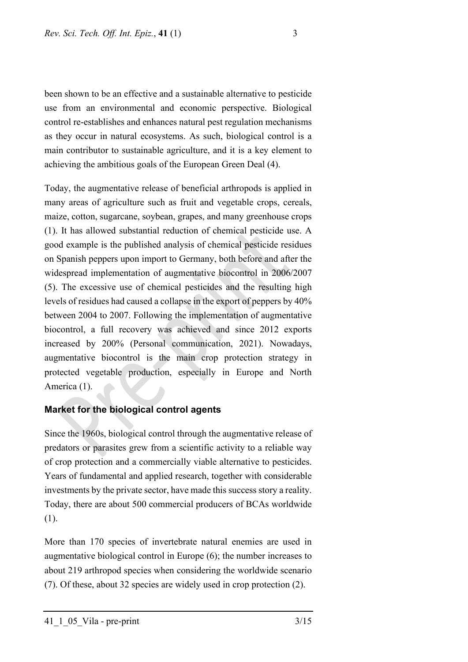been shown to be an effective and a sustainable alternative to pesticide use from an environmental and economic perspective. Biological control re-establishes and enhances natural pest regulation mechanisms as they occur in natural ecosystems. As such, biological control is a main contributor to sustainable agriculture, and it is a key element to achieving the ambitious goals of the European Green Deal (4).

Today, the augmentative release of beneficial arthropods is applied in many areas of agriculture such as fruit and vegetable crops, cereals, maize, cotton, sugarcane, soybean, grapes, and many greenhouse crops (1). It has allowed substantial reduction of chemical pesticide use. A good example is the published analysis of chemical pesticide residues on Spanish peppers upon import to Germany, both before and after the widespread implementation of augmentative biocontrol in 2006/2007 (5). The excessive use of chemical pesticides and the resulting high levels of residues had caused a collapse in the export of peppers by 40% between 2004 to 2007. Following the implementation of augmentative biocontrol, a full recovery was achieved and since 2012 exports increased by 200% (Personal communication, 2021). Nowadays, augmentative biocontrol is the main crop protection strategy in protected vegetable production, especially in Europe and North America (1).

## **Market for the biological control agents**

Since the 1960s, biological control through the augmentative release of predators or parasites grew from a scientific activity to a reliable way of crop protection and a commercially viable alternative to pesticides. Years of fundamental and applied research, together with considerable investments by the private sector, have made this success story a reality. Today, there are about 500 commercial producers of BCAs worldwide (1).

More than 170 species of invertebrate natural enemies are used in augmentative biological control in Europe (6); the number increases to about 219 arthropod species when considering the worldwide scenario (7). Of these, about 32 species are widely used in crop protection (2).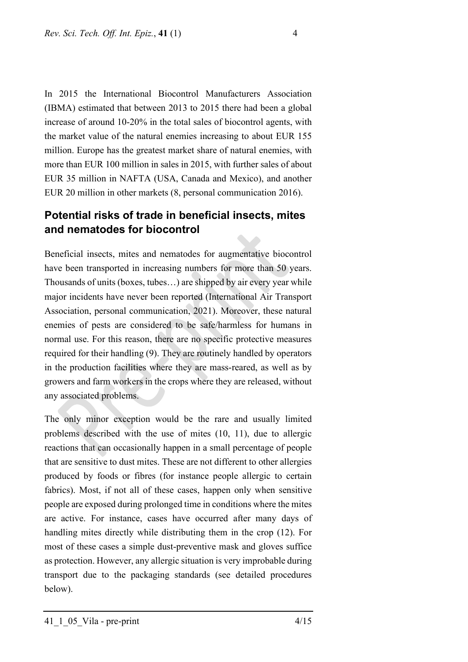In 2015 the International Biocontrol Manufacturers Association (IBMA) estimated that between 2013 to 2015 there had been a global increase of around 10-20% in the total sales of biocontrol agents, with the market value of the natural enemies increasing to about EUR 155 million. Europe has the greatest market share of natural enemies, with more than EUR 100 million in sales in 2015, with further sales of about EUR 35 million in NAFTA (USA, Canada and Mexico), and another EUR 20 million in other markets (8, personal communication 2016).

# **Potential risks of trade in beneficial insects, mites and nematodes for biocontrol**

Beneficial insects, mites and nematodes for augmentative biocontrol have been transported in increasing numbers for more than 50 years. Thousands of units (boxes, tubes…) are shipped by air every year while major incidents have never been reported (International Air Transport Association, personal communication, 2021). Moreover, these natural enemies of pests are considered to be safe/harmless for humans in normal use. For this reason, there are no specific protective measures required for their handling (9). They are routinely handled by operators in the production facilities where they are mass-reared, as well as by growers and farm workers in the crops where they are released, without any associated problems.

The only minor exception would be the rare and usually limited problems described with the use of mites (10, 11), due to allergic reactions that can occasionally happen in a small percentage of people that are sensitive to dust mites. These are not different to other allergies produced by foods or fibres (for instance people allergic to certain fabrics). Most, if not all of these cases, happen only when sensitive people are exposed during prolonged time in conditions where the mites are active. For instance, cases have occurred after many days of handling mites directly while distributing them in the crop (12). For most of these cases a simple dust-preventive mask and gloves suffice as protection. However, any allergic situation is very improbable during transport due to the packaging standards (see detailed procedures below).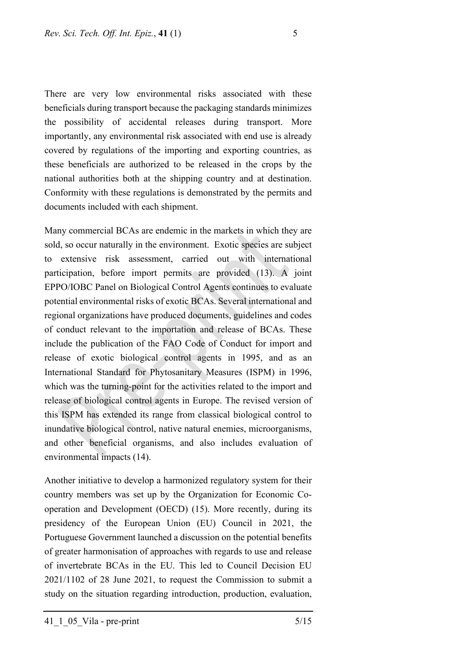There are very low environmental risks associated with these beneficials during transport because the packaging standards minimizes the possibility of accidental releases during transport. More importantly, any environmental risk associated with end use is already covered by regulations of the importing and exporting countries, as these beneficials are authorized to be released in the crops by the national authorities both at the shipping country and at destination. Conformity with these regulations is demonstrated by the permits and documents included with each shipment.

Many commercial BCAs are endemic in the markets in which they are sold, so occur naturally in the environment. Exotic species are subject to extensive risk assessment, carried out with international participation, before import permits are provided (13). A joint EPPO/IOBC Panel on Biological Control Agents continues to evaluate potential environmental risks of exotic BCAs. Several international and regional organizations have produced documents, guidelines and codes of conduct relevant to the importation and release of BCAs. These include the publication of the FAO Code of Conduct for import and release of exotic biological control agents in 1995, and as an International Standard for Phytosanitary Measures (ISPM) in 1996, which was the turning-point for the activities related to the import and release of biological control agents in Europe. The revised version of this ISPM has extended its range from classical biological control to inundative biological control, native natural enemies, microorganisms, and other beneficial organisms, and also includes evaluation of environmental impacts (14).

Another initiative to develop a harmonized regulatory system for their country members was set up by the Organization for Economic Cooperation and Development (OECD) (15). More recently, during its presidency of the European Union (EU) Council in 2021, the Portuguese Government launched a discussion on the potential benefits of greater harmonisation of approaches with regards to use and release of invertebrate BCAs in the EU. This led to Council Decision EU 2021/1102 of 28 June 2021, to request the Commission to submit a study on the situation regarding introduction, production, evaluation,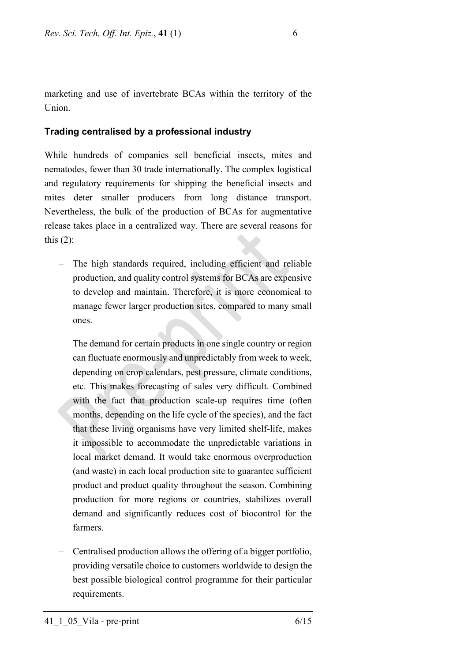marketing and use of invertebrate BCAs within the territory of the Union.

## **Trading centralised by a professional industry**

While hundreds of companies sell beneficial insects, mites and nematodes, fewer than 30 trade internationally. The complex logistical and regulatory requirements for shipping the beneficial insects and mites deter smaller producers from long distance transport. Nevertheless, the bulk of the production of BCAs for augmentative release takes place in a centralized way. There are several reasons for this  $(2)$ :

- − The high standards required, including efficient and reliable production, and quality control systems for BCAs are expensive to develop and maintain. Therefore, it is more economical to manage fewer larger production sites, compared to many small ones.
- The demand for certain products in one single country or region can fluctuate enormously and unpredictably from week to week, depending on crop calendars, pest pressure, climate conditions, etc. This makes forecasting of sales very difficult. Combined with the fact that production scale-up requires time (often months, depending on the life cycle of the species), and the fact that these living organisms have very limited shelf-life, makes it impossible to accommodate the unpredictable variations in local market demand. It would take enormous overproduction (and waste) in each local production site to guarantee sufficient product and product quality throughout the season. Combining production for more regions or countries, stabilizes overall demand and significantly reduces cost of biocontrol for the farmers.
- − Centralised production allows the offering of a bigger portfolio, providing versatile choice to customers worldwide to design the best possible biological control programme for their particular requirements.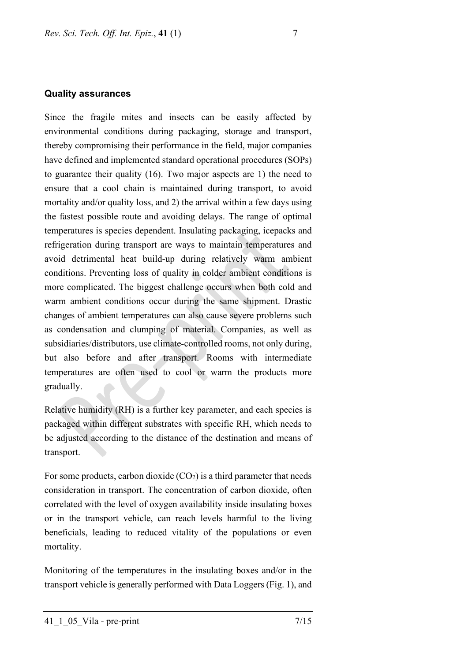#### **Quality assurances**

Since the fragile mites and insects can be easily affected by environmental conditions during packaging, storage and transport, thereby compromising their performance in the field, major companies have defined and implemented standard operational procedures (SOPs) to guarantee their quality (16). Two major aspects are 1) the need to ensure that a cool chain is maintained during transport, to avoid mortality and/or quality loss, and 2) the arrival within a few days using the fastest possible route and avoiding delays. The range of optimal temperatures is species dependent. Insulating packaging, icepacks and refrigeration during transport are ways to maintain temperatures and avoid detrimental heat build-up during relatively warm ambient conditions. Preventing loss of quality in colder ambient conditions is more complicated. The biggest challenge occurs when both cold and warm ambient conditions occur during the same shipment. Drastic changes of ambient temperatures can also cause severe problems such as condensation and clumping of material. Companies, as well as subsidiaries/distributors, use climate-controlled rooms, not only during, but also before and after transport. Rooms with intermediate temperatures are often used to cool or warm the products more gradually.

Relative humidity (RH) is a further key parameter, and each species is packaged within different substrates with specific RH, which needs to be adjusted according to the distance of the destination and means of transport.

For some products, carbon dioxide  $(CO_2)$  is a third parameter that needs consideration in transport. The concentration of carbon dioxide, often correlated with the level of oxygen availability inside insulating boxes or in the transport vehicle, can reach levels harmful to the living beneficials, leading to reduced vitality of the populations or even mortality.

Monitoring of the temperatures in the insulating boxes and/or in the transport vehicle is generally performed with Data Loggers (Fig. 1), and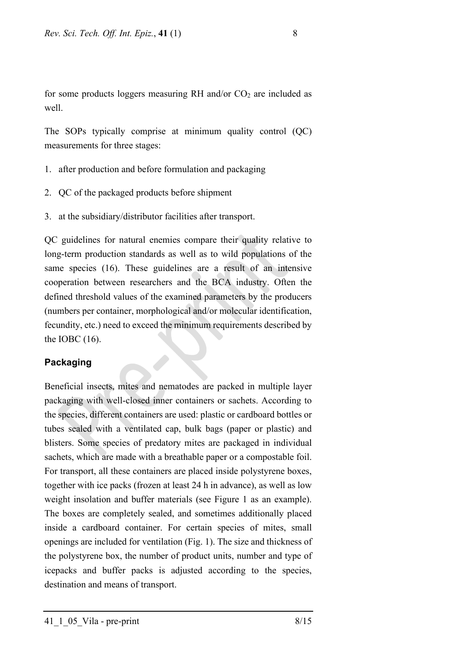for some products loggers measuring RH and/or  $CO<sub>2</sub>$  are included as well.

The SOPs typically comprise at minimum quality control (QC) measurements for three stages:

- 1. after production and before formulation and packaging
- 2. QC of the packaged products before shipment
- 3. at the subsidiary/distributor facilities after transport.

QC guidelines for natural enemies compare their quality relative to long-term production standards as well as to wild populations of the same species (16). These guidelines are a result of an intensive cooperation between researchers and the BCA industry. Often the defined threshold values of the examined parameters by the producers (numbers per container, morphological and/or molecular identification, fecundity, etc.) need to exceed the minimum requirements described by the IOBC (16).

## **Packaging**

Beneficial insects, mites and nematodes are packed in multiple layer packaging with well-closed inner containers or sachets. According to the species, different containers are used: plastic or cardboard bottles or tubes sealed with a ventilated cap, bulk bags (paper or plastic) and blisters. Some species of predatory mites are packaged in individual sachets, which are made with a breathable paper or a compostable foil. For transport, all these containers are placed inside polystyrene boxes, together with ice packs (frozen at least 24 h in advance), as well as low weight insolation and buffer materials (see Figure 1 as an example). The boxes are completely sealed, and sometimes additionally placed inside a cardboard container. For certain species of mites, small openings are included for ventilation (Fig. 1). The size and thickness of the polystyrene box, the number of product units, number and type of icepacks and buffer packs is adjusted according to the species, destination and means of transport.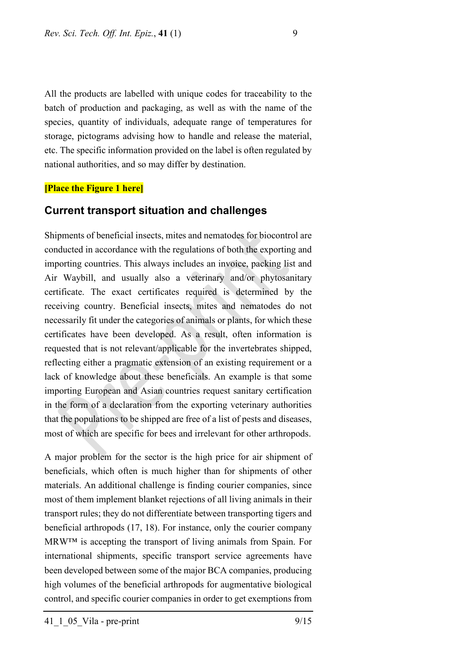All the products are labelled with unique codes for traceability to the batch of production and packaging, as well as with the name of the species, quantity of individuals, adequate range of temperatures for storage, pictograms advising how to handle and release the material, etc. The specific information provided on the label is often regulated by national authorities, and so may differ by destination.

#### **[Place the Figure 1 here]**

### **Current transport situation and challenges**

Shipments of beneficial insects, mites and nematodes for biocontrol are conducted in accordance with the regulations of both the exporting and importing countries. This always includes an invoice, packing list and Air Waybill, and usually also a veterinary and/or phytosanitary certificate. The exact certificates required is determined by the receiving country. Beneficial insects, mites and nematodes do not necessarily fit under the categories of animals or plants, for which these certificates have been developed. As a result, often information is requested that is not relevant/applicable for the invertebrates shipped, reflecting either a pragmatic extension of an existing requirement or a lack of knowledge about these beneficials. An example is that some importing European and Asian countries request sanitary certification in the form of a declaration from the exporting veterinary authorities that the populations to be shipped are free of a list of pests and diseases, most of which are specific for bees and irrelevant for other arthropods.

A major problem for the sector is the high price for air shipment of beneficials, which often is much higher than for shipments of other materials. An additional challenge is finding courier companies, since most of them implement blanket rejections of all living animals in their transport rules; they do not differentiate between transporting tigers and beneficial arthropods (17, 18). For instance, only the courier company MRW™ is accepting the transport of living animals from Spain. For international shipments, specific transport service agreements have been developed between some of the major BCA companies, producing high volumes of the beneficial arthropods for augmentative biological control, and specific courier companies in order to get exemptions from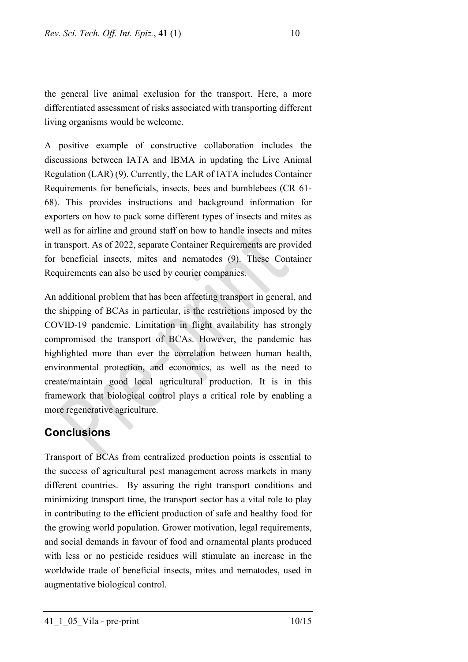the general live animal exclusion for the transport. Here, a more differentiated assessment of risks associated with transporting different living organisms would be welcome.

A positive example of constructive collaboration includes the discussions between IATA and IBMA in updating the Live Animal Regulation (LAR) (9). Currently, the LAR of IATA includes Container Requirements for beneficials, insects, bees and bumblebees (CR 61- 68). This provides instructions and background information for exporters on how to pack some different types of insects and mites as well as for airline and ground staff on how to handle insects and mites in transport. As of 2022, separate Container Requirements are provided for beneficial insects, mites and nematodes (9). These Container Requirements can also be used by courier companies.

An additional problem that has been affecting transport in general, and the shipping of BCAs in particular, is the restrictions imposed by the COVID-19 pandemic. Limitation in flight availability has strongly compromised the transport of BCAs. However, the pandemic has highlighted more than ever the correlation between human health, environmental protection, and economics, as well as the need to create/maintain good local agricultural production. It is in this framework that biological control plays a critical role by enabling a more regenerative agriculture.

# **Conclusions**

Transport of BCAs from centralized production points is essential to the success of agricultural pest management across markets in many different countries. By assuring the right transport conditions and minimizing transport time, the transport sector has a vital role to play in contributing to the efficient production of safe and healthy food for the growing world population. Grower motivation, legal requirements, and social demands in favour of food and ornamental plants produced with less or no pesticide residues will stimulate an increase in the worldwide trade of beneficial insects, mites and nematodes, used in augmentative biological control.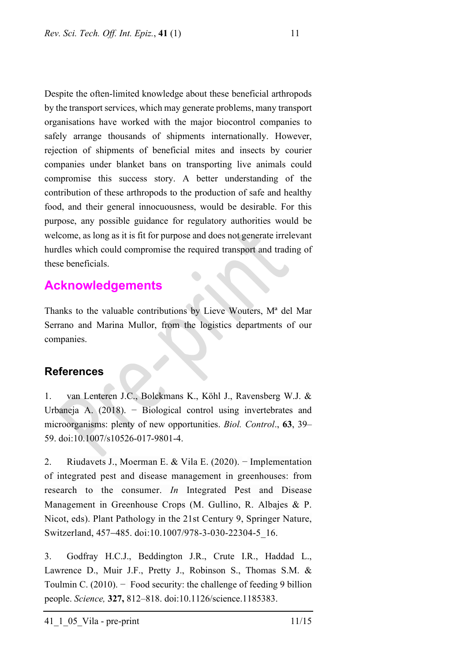Despite the often-limited knowledge about these beneficial arthropods by the transport services, which may generate problems, many transport organisations have worked with the major biocontrol companies to safely arrange thousands of shipments internationally. However, rejection of shipments of beneficial mites and insects by courier companies under blanket bans on transporting live animals could compromise this success story. A better understanding of the contribution of these arthropods to the production of safe and healthy food, and their general innocuousness, would be desirable. For this purpose, any possible guidance for regulatory authorities would be welcome, as long as it is fit for purpose and does not generate irrelevant hurdles which could compromise the required transport and trading of these beneficials.

# **Acknowledgements**

Thanks to the valuable contributions by Lieve Wouters, Mª del Mar Serrano and Marina Mullor, from the logistics departments of our companies.

# **References**

1. van Lenteren J.C., Bolckmans K., Köhl J., Ravensberg W.J. & Urbaneja A. (2018). − Biological control using invertebrates and microorganisms: plenty of new opportunities. *Biol. Control*., **63**, 39– 59. [doi:1](https://doi.org/10.1007/s10526-017-9801-4)0.1007/s10526-017-9801-4.

2. Riudavets J., Moerman E. & Vila E. (2020). − Implementation of integrated pest and disease management in greenhouses: from research to the consumer. *In* Integrated Pest and Disease Management in Greenhouse Crops (M. Gullino, R. Albajes & P. Nicot, eds). Plant Pathology in the 21st Century 9, Springer Nature, Switzerland, 457−485. doi:10.1007/978-3-030-22304-5\_16.

3. Godfray H.C.J., Beddington J.R., Crute I.R., Haddad L., Lawrence D., Muir J.F., Pretty J., Robinson S., Thomas S.M. & Toulmin C. (2010). − Food security: the challenge of feeding 9 billion people. *Science,* **327,** 812–818. doi:10.1126/science.1185383.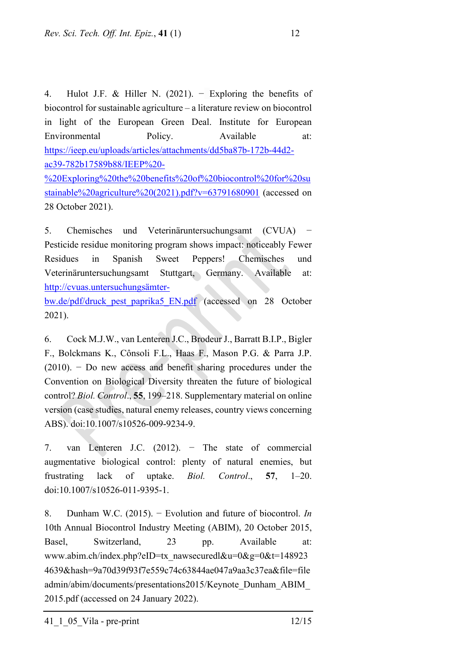4. Hulot J.F. & Hiller N. (2021). − Exploring the benefits of biocontrol for sustainable agriculture – a literature review on biocontrol in light of the European Green Deal. Institute for European Environmental Policy. Available at: [https://ieep.eu/uploads/articles/attachments/dd5ba87b-172b-44d2](https://ieep.eu/uploads/articles/attachments/dd5ba87b-172b-44d2-ac39-782b17589b88/IEEP%20-%20Exploring%20the%20benefits%20of%20biocontrol%20for%20sustainable%20agriculture%20(2021).pdf?v=63791680901) [ac39-782b17589b88/IEEP%20-](https://ieep.eu/uploads/articles/attachments/dd5ba87b-172b-44d2-ac39-782b17589b88/IEEP%20-%20Exploring%20the%20benefits%20of%20biocontrol%20for%20sustainable%20agriculture%20(2021).pdf?v=63791680901)

[%20Exploring%20the%20benefits%20of%20biocontrol%20for%20su](https://ieep.eu/uploads/articles/attachments/dd5ba87b-172b-44d2-ac39-782b17589b88/IEEP%20-%20Exploring%20the%20benefits%20of%20biocontrol%20for%20sustainable%20agriculture%20(2021).pdf?v=63791680901) [stainable%20agriculture%20\(2021\).pdf?v=63791680901](https://ieep.eu/uploads/articles/attachments/dd5ba87b-172b-44d2-ac39-782b17589b88/IEEP%20-%20Exploring%20the%20benefits%20of%20biocontrol%20for%20sustainable%20agriculture%20(2021).pdf?v=63791680901) (accessed on 28 October 2021).

5. Chemisches und Veterinäruntersuchungsamt (CVUA) Pesticide residue monitoring program shows impact: noticeably Fewer Residues in Spanish Sweet Peppers! Chemisches und Veterinäruntersuchungsamt Stuttgart, Germany. Available at: [http://cvuas.untersuchungsämter-](http://cvuas.untersuchungs%C3%A4mter-bw.de/pdf/druck_pest_paprika5_EN.pdf)

[bw.de/pdf/druck\\_pest\\_paprika5\\_EN.pdf](http://cvuas.untersuchungs%C3%A4mter-bw.de/pdf/druck_pest_paprika5_EN.pdf) (accessed on 28 October 2021).

6. Cock M.J.W., van Lenteren J.C., Brodeur J., Barratt B.I.P., Bigler F., Bolckmans K., Cônsoli F.L., Haas F., Mason P.G. & Parra J.P. (2010). − Do new access and benefit sharing procedures under the Convention on Biological Diversity threaten the future of biological control? *Biol. Control*., **55**, 199–218. Supplementary material on online version (case studies, natural enemy releases, country views concerning ABS). doi:10.1007/s10526-009-9234-9.

7. van Lenteren J.C. (2012). − The state of commercial augmentative biological control: plenty of natural enemies, but frustrating lack of uptake. *Biol. Control*., **57**, 1–20. doi:10.1007/s10526-011-9395-1.

8. Dunham W.C. (2015). − Evolution and future of biocontrol. *In* 10th Annual Biocontrol Industry Meeting (ABIM), 20 October 2015, Basel, Switzerland, 23 pp. Available at: www.abim.ch/index.php?eID=tx\_nawsecuredl&u=0&g=0&t=148923 4639&hash=9a70d39f93f7e559c74c63844ae047a9aa3c37ea&file=file admin/abim/documents/presentations2015/Keynote\_Dunham\_ABIM\_ 2015.pdf (accessed on 24 January 2022).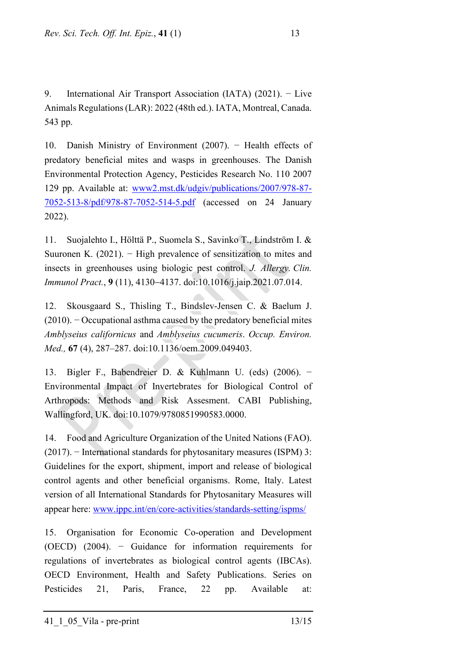9. International Air Transport Association (IATA) (2021). − Live Animals Regulations (LAR): 2022 (48th ed.). IATA, Montreal, Canada. 543 pp.

10. Danish Ministry of Environment (2007). − Health effects of predatory beneficial mites and wasps in greenhouses. The Danish Environmental Protection Agency, Pesticides Research No. 110 2007 129 pp. Available at: [www2.mst.dk/udgiv/publications/2007/978-87-](https://www2.mst.dk/udgiv/publications/2007/978-87-7052-513-8/pdf/978-87-7052-514-5.pdf) [7052-513-8/pdf/978-87-7052-514-5.pdf](https://www2.mst.dk/udgiv/publications/2007/978-87-7052-513-8/pdf/978-87-7052-514-5.pdf) (accessed on 24 January 2022).

11. Suojalehto I., Hölttä P., Suomela S., Savinko T., Lindström I. & Suuronen K. (2021). − High prevalence of sensitization to mites and insects in greenhouses using biologic pest control. *J. Allergy. Clin. Immunol Pract.*, **9** (11), 4130−4137. doi:10.1016/j.jaip.2021.07.014.

12. Skousgaard S., Thisling T., Bindslev-Jensen C. & Baelum J.  $(2010)$ . – Occupational asthma caused by the predatory beneficial mites *Amblyseius californicus* and *Amblyseius cucumeris*. *Occup. Environ. Med.,* **67** (4), 287–287. doi:10.1136/oem.2009.049403.

13. Bigler F., Babendreier D. & Kuhlmann U. (eds) (2006). − Environmental Impact of Invertebrates for Biological Control of Arthropods: Methods and Risk Assesment. CABI Publishing, Wallingford, UK. doi:10.1079/9780851990583.0000.

14. Food and Agriculture Organization of the United Nations (FAO). (2017). − International standards for phytosanitary measures (ISPM) 3: Guidelines for the export, shipment, import and release of biological control agents and other beneficial organisms. Rome, Italy. Latest version of all International Standards for Phytosanitary Measures will appear here: [www.ippc.int/en/core-activities/standards-setting/ispms/](http://www.ippc.int/en/core-activities/standards-setting/ispms/)

15. Organisation for Economic Co-operation and Development (OECD) (2004). − Guidance for information requirements for regulations of invertebrates as biological control agents (IBCAs). OECD Environment, Health and Safety Publications. Series on Pesticides 21, Paris, France, 22 pp. Available at: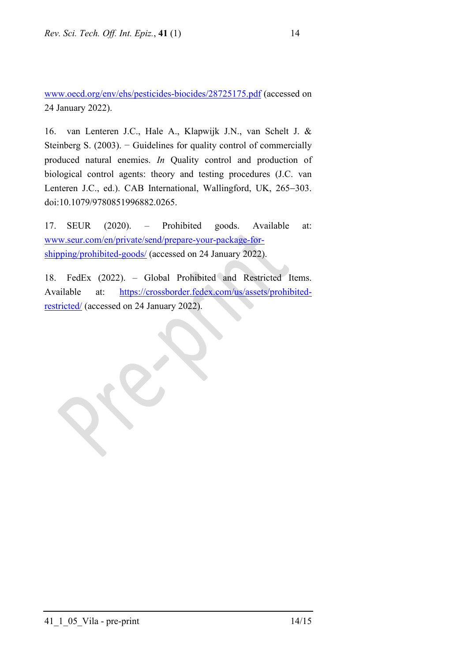[www.oecd.org/env/ehs/pesticides-biocides/28725175.pdf](http://www.oecd.org/env/ehs/pesticides-biocides/28725175.pdf) (accessed on 24 January 2022).

16. van Lenteren J.C., Hale A., Klapwijk J.N., van Schelt J. & Steinberg S.  $(2003)$ . – Guidelines for quality control of commercially produced natural enemies. *In* Quality control and production of biological control agents: theory and testing procedures (J.C. van Lenteren J.C., ed.). CAB International, Wallingford, UK, 265−303. doi:10.1079/9780851996882.0265.

17. SEUR (2020). – Prohibited goods. Available at: [www.seur.com/en/private/send/prepare-your-package-for](http://www.seur.com/en/private/send/prepare-your-package-for-shipping/prohibited-goods/)[shipping/prohibited-goods/](http://www.seur.com/en/private/send/prepare-your-package-for-shipping/prohibited-goods/) (accessed on 24 January 2022).

18. FedEx (2022). – Global Prohibited and Restricted Items. Available at: [https://crossborder.fedex.com/us/assets/prohibited](https://crossborder.fedex.com/us/assets/prohibited-restricted/)[restricted/](https://crossborder.fedex.com/us/assets/prohibited-restricted/) (accessed on 24 January 2022).